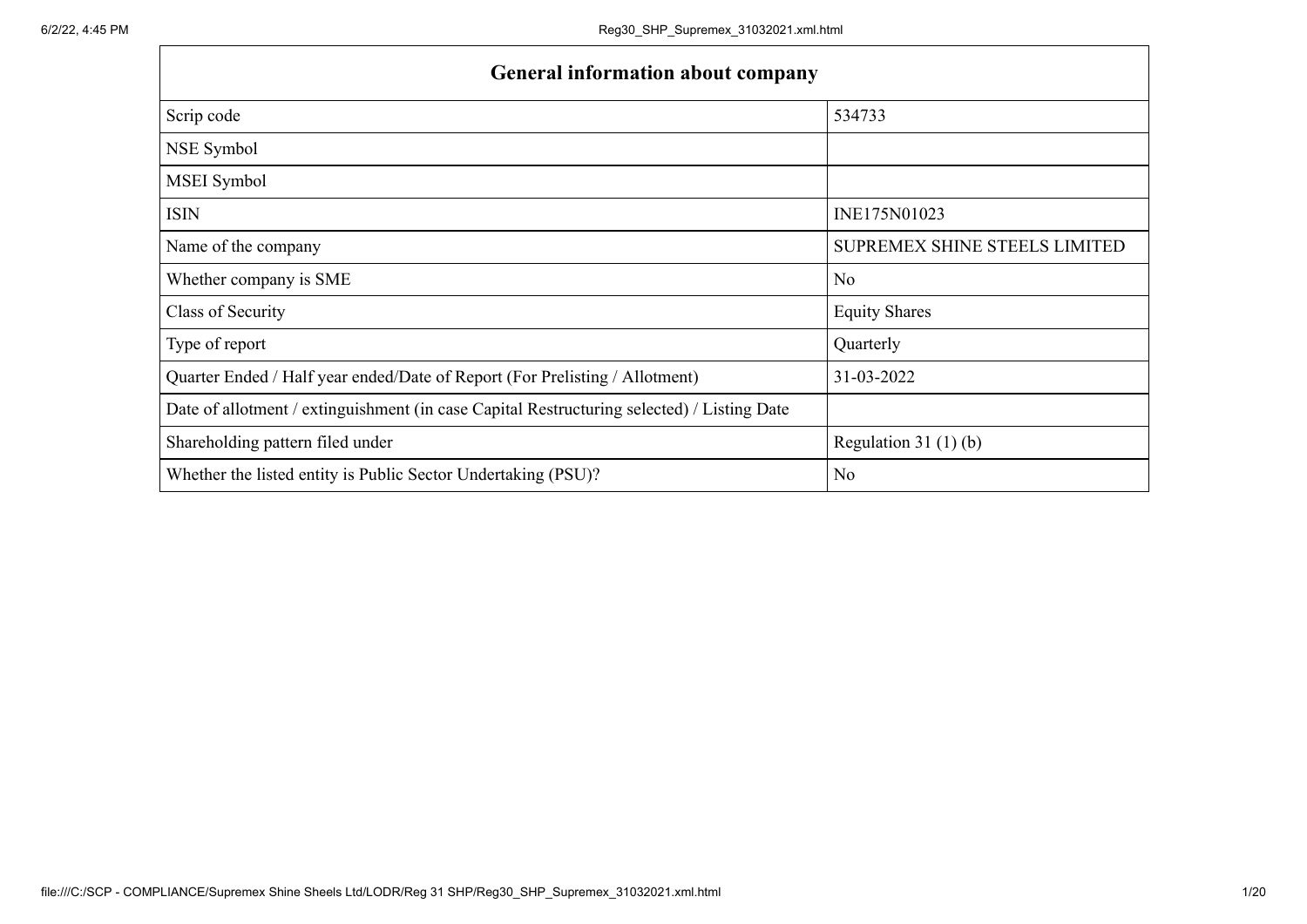$\mathbf{r}$ 

| <b>General information about company</b>                                                   |                               |  |  |  |  |  |  |
|--------------------------------------------------------------------------------------------|-------------------------------|--|--|--|--|--|--|
| Scrip code                                                                                 | 534733                        |  |  |  |  |  |  |
| NSE Symbol                                                                                 |                               |  |  |  |  |  |  |
| MSEI Symbol                                                                                |                               |  |  |  |  |  |  |
| <b>ISIN</b>                                                                                | INE175N01023                  |  |  |  |  |  |  |
| Name of the company                                                                        | SUPREMEX SHINE STEELS LIMITED |  |  |  |  |  |  |
| Whether company is SME                                                                     | No.                           |  |  |  |  |  |  |
| Class of Security                                                                          | <b>Equity Shares</b>          |  |  |  |  |  |  |
| Type of report                                                                             | Quarterly                     |  |  |  |  |  |  |
| Quarter Ended / Half year ended/Date of Report (For Prelisting / Allotment)                | 31-03-2022                    |  |  |  |  |  |  |
| Date of allotment / extinguishment (in case Capital Restructuring selected) / Listing Date |                               |  |  |  |  |  |  |
| Shareholding pattern filed under                                                           | Regulation $31(1)(b)$         |  |  |  |  |  |  |
| Whether the listed entity is Public Sector Undertaking (PSU)?                              | No.                           |  |  |  |  |  |  |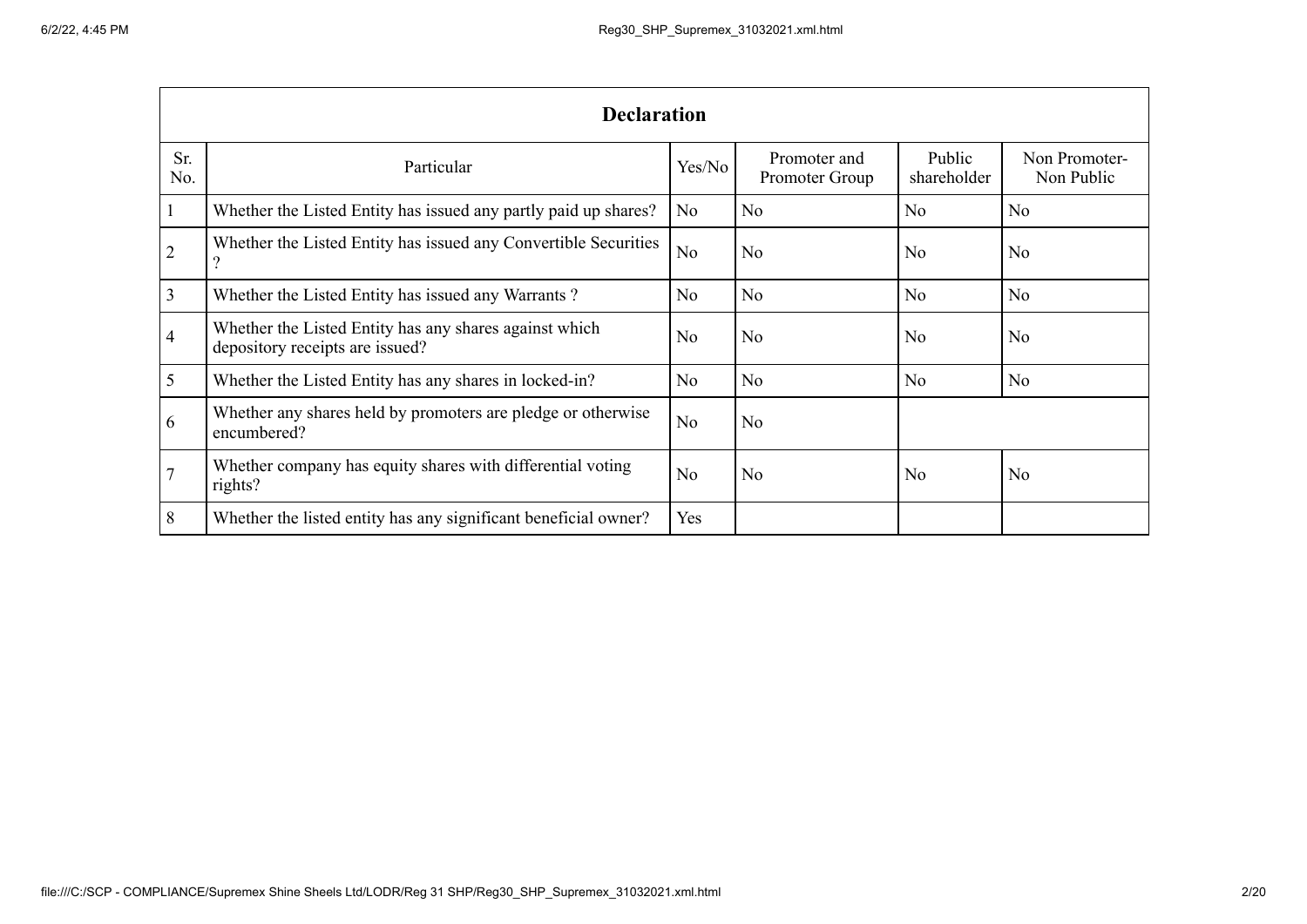|                | <b>Declaration</b>                                                                        |                |                                |                       |                             |  |  |  |  |
|----------------|-------------------------------------------------------------------------------------------|----------------|--------------------------------|-----------------------|-----------------------------|--|--|--|--|
| Sr.<br>No.     | Particular                                                                                | Yes/No         | Promoter and<br>Promoter Group | Public<br>shareholder | Non Promoter-<br>Non Public |  |  |  |  |
|                | Whether the Listed Entity has issued any partly paid up shares?                           | No             | N <sub>o</sub>                 | N <sub>o</sub>        | N <sub>o</sub>              |  |  |  |  |
| $\overline{2}$ | Whether the Listed Entity has issued any Convertible Securities                           | No             | N <sub>o</sub>                 | N <sub>o</sub>        | No                          |  |  |  |  |
| $\overline{3}$ | Whether the Listed Entity has issued any Warrants?                                        | No             | No                             | N <sub>o</sub>        | N <sub>o</sub>              |  |  |  |  |
| $\overline{4}$ | Whether the Listed Entity has any shares against which<br>depository receipts are issued? | No             | N <sub>o</sub>                 | N <sub>o</sub>        | No                          |  |  |  |  |
| 5              | Whether the Listed Entity has any shares in locked-in?                                    | No             | No                             | N <sub>o</sub>        | No                          |  |  |  |  |
| 6              | Whether any shares held by promoters are pledge or otherwise<br>encumbered?               | N <sub>o</sub> | N <sub>o</sub>                 |                       |                             |  |  |  |  |
|                | Whether company has equity shares with differential voting<br>rights?                     | N <sub>o</sub> | N <sub>o</sub>                 | N <sub>o</sub>        | No                          |  |  |  |  |
| 8              | Whether the listed entity has any significant beneficial owner?                           | Yes            |                                |                       |                             |  |  |  |  |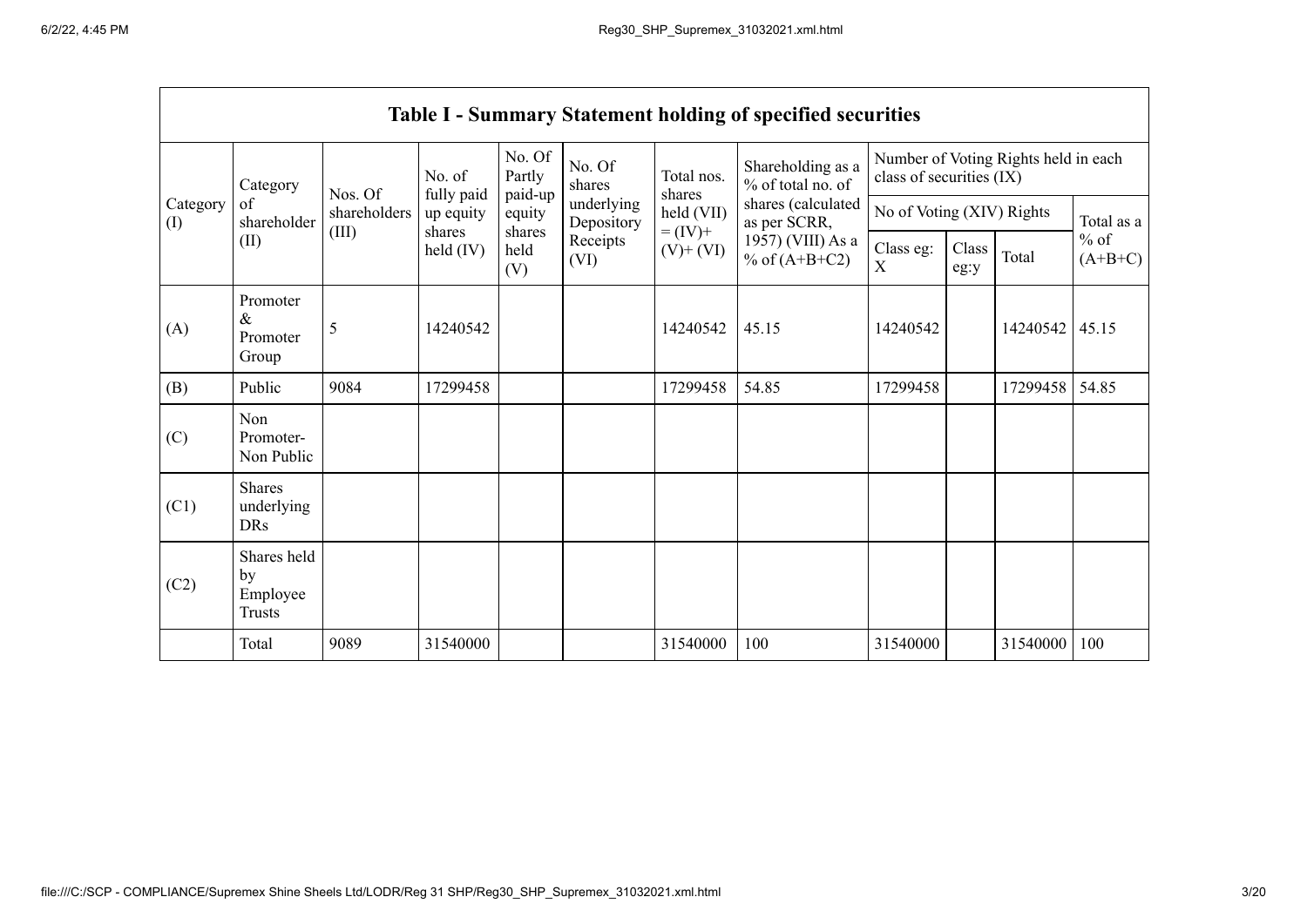|                 |                                                                                                                                                                                                                                  |                                      |                           |                             |                  |                      | <b>Table I - Summary Statement holding of specified securities</b> |                          |  |                                      |       |
|-----------------|----------------------------------------------------------------------------------------------------------------------------------------------------------------------------------------------------------------------------------|--------------------------------------|---------------------------|-----------------------------|------------------|----------------------|--------------------------------------------------------------------|--------------------------|--|--------------------------------------|-------|
|                 | Category                                                                                                                                                                                                                         | Nos. Of                              | No. of<br>fully paid      | No. Of<br>Partly<br>paid-up | No. Of<br>shares | Total nos.<br>shares | Shareholding as a<br>% of total no. of                             | class of securities (IX) |  | Number of Voting Rights held in each |       |
| Category<br>(I) | underlying<br>of<br>held (VII)<br>shareholders<br>up equity<br>equity<br>shareholder<br>Depository<br>$= (IV) +$<br>(III)<br>shares<br>shares<br>(II)<br>Receipts<br>$\text{held (IV)}$<br>$(V)$ + $(VI)$<br>held<br>(VI)<br>(V) | shares (calculated<br>as per SCRR,   | No of Voting (XIV) Rights |                             |                  | Total as a           |                                                                    |                          |  |                                      |       |
|                 |                                                                                                                                                                                                                                  | 1957) (VIII) As a<br>% of $(A+B+C2)$ | Class eg:<br>X            | Class<br>eg:y               | Total            | $%$ of<br>$(A+B+C)$  |                                                                    |                          |  |                                      |       |
| (A)             | Promoter<br>$\&$<br>Promoter<br>Group                                                                                                                                                                                            | 5                                    | 14240542                  |                             |                  | 14240542             | 45.15                                                              | 14240542                 |  | 14240542                             | 45.15 |
| (B)             | Public                                                                                                                                                                                                                           | 9084                                 | 17299458                  |                             |                  | 17299458             | 54.85                                                              | 17299458                 |  | 17299458                             | 54.85 |
| (C)             | Non<br>Promoter-<br>Non Public                                                                                                                                                                                                   |                                      |                           |                             |                  |                      |                                                                    |                          |  |                                      |       |
| (C1)            | <b>Shares</b><br>underlying<br><b>DRs</b>                                                                                                                                                                                        |                                      |                           |                             |                  |                      |                                                                    |                          |  |                                      |       |
| (C2)            | Shares held<br>by<br>Employee<br><b>Trusts</b>                                                                                                                                                                                   |                                      |                           |                             |                  |                      |                                                                    |                          |  |                                      |       |
|                 | Total                                                                                                                                                                                                                            | 9089                                 | 31540000                  |                             |                  | 31540000             | 100                                                                | 31540000                 |  | 31540000                             | 100   |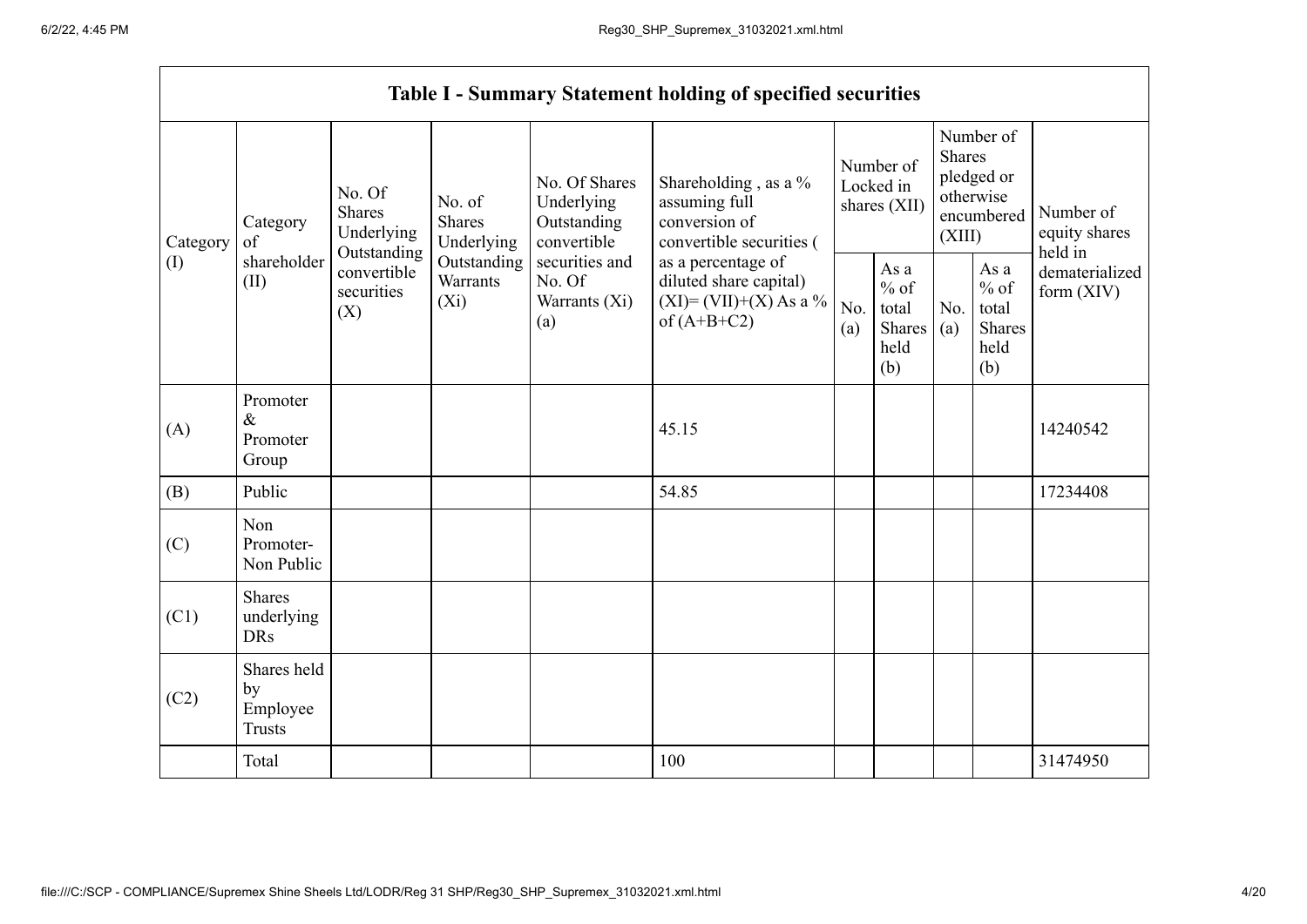|          |                                                         |                                                 |                                       |                                                           | <b>Table I - Summary Statement holding of specified securities</b>                         |                                        |                                                  |                                                                               |                                                  |                                       |
|----------|---------------------------------------------------------|-------------------------------------------------|---------------------------------------|-----------------------------------------------------------|--------------------------------------------------------------------------------------------|----------------------------------------|--------------------------------------------------|-------------------------------------------------------------------------------|--------------------------------------------------|---------------------------------------|
| Category | No. Of<br><b>Shares</b><br>Category<br>Underlying<br>of |                                                 | No. of<br><b>Shares</b><br>Underlying | No. Of Shares<br>Underlying<br>Outstanding<br>convertible | Shareholding, as a %<br>assuming full<br>conversion of<br>convertible securities (         | Number of<br>Locked in<br>shares (XII) |                                                  | Number of<br><b>Shares</b><br>pledged or<br>otherwise<br>encumbered<br>(XIII) |                                                  | Number of<br>equity shares<br>held in |
| (I)      | shareholder<br>(II)                                     | Outstanding<br>convertible<br>securities<br>(X) | Outstanding<br>Warrants<br>$(X_i)$    | securities and<br>No. Of<br>Warrants (Xi)<br>(a)          | as a percentage of<br>diluted share capital)<br>$(XI) = (VII)+(X) As a %$<br>of $(A+B+C2)$ |                                        | As a<br>$%$ of<br>total<br>Shares<br>held<br>(b) | No.<br>(a)                                                                    | As a<br>$%$ of<br>total<br>Shares<br>held<br>(b) | dematerialized<br>form $(XIV)$        |
| (A)      | Promoter<br>$\&$<br>Promoter<br>Group                   |                                                 |                                       |                                                           | 45.15                                                                                      |                                        |                                                  |                                                                               |                                                  | 14240542                              |
| (B)      | Public                                                  |                                                 |                                       |                                                           | 54.85                                                                                      |                                        |                                                  |                                                                               |                                                  | 17234408                              |
| (C)      | Non<br>Promoter-<br>Non Public                          |                                                 |                                       |                                                           |                                                                                            |                                        |                                                  |                                                                               |                                                  |                                       |
| (C1)     | <b>Shares</b><br>underlying<br><b>DRs</b>               |                                                 |                                       |                                                           |                                                                                            |                                        |                                                  |                                                                               |                                                  |                                       |
| (C2)     | Shares held<br>by<br>Employee<br><b>Trusts</b>          |                                                 |                                       |                                                           |                                                                                            |                                        |                                                  |                                                                               |                                                  |                                       |
|          | Total                                                   |                                                 |                                       |                                                           | 100                                                                                        |                                        |                                                  |                                                                               |                                                  | 31474950                              |

 $\overline{\phantom{0}}$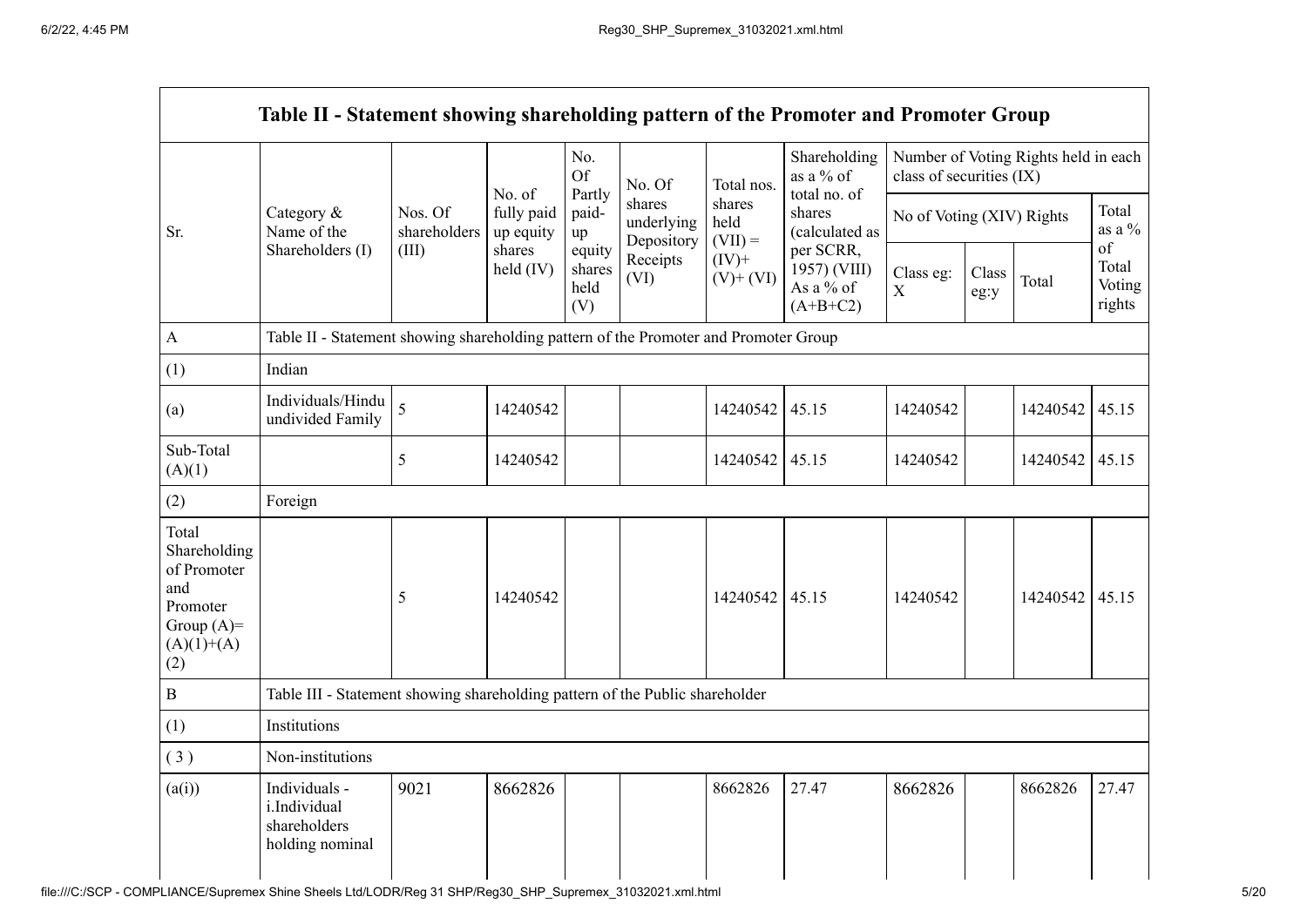$\blacksquare$ 

|                                                                                                | Table II - Statement showing shareholding pattern of the Promoter and Promoter Group |                         |                         |                                 |                                    |                             |                                                      |                                                                  |               |          |                                 |
|------------------------------------------------------------------------------------------------|--------------------------------------------------------------------------------------|-------------------------|-------------------------|---------------------------------|------------------------------------|-----------------------------|------------------------------------------------------|------------------------------------------------------------------|---------------|----------|---------------------------------|
|                                                                                                |                                                                                      |                         | No. of                  | No.<br><b>Of</b>                | No. Of                             | Total nos.                  | Shareholding<br>as a % of<br>total no. of            | Number of Voting Rights held in each<br>class of securities (IX) |               |          |                                 |
| Sr.                                                                                            | Category &<br>Name of the                                                            | Nos. Of<br>shareholders | fully paid<br>up equity | Partly<br>paid-<br>up           | shares<br>underlying<br>Depository | shares<br>held<br>$(VII) =$ | shares<br>(calculated as                             | No of Voting (XIV) Rights                                        |               |          | Total<br>as a $\%$              |
|                                                                                                | Shareholders (I)                                                                     | (III)                   | shares<br>held $(IV)$   | equity<br>shares<br>held<br>(V) | Receipts<br>(VI)                   | $(IV)$ +<br>$(V)$ + $(VI)$  | per SCRR,<br>1957) (VIII)<br>As a % of<br>$(A+B+C2)$ | Class eg:<br>$\mathbf X$                                         | Class<br>eg:y | Total    | of<br>Total<br>Voting<br>rights |
| $\mathbf{A}$                                                                                   | Table II - Statement showing shareholding pattern of the Promoter and Promoter Group |                         |                         |                                 |                                    |                             |                                                      |                                                                  |               |          |                                 |
| (1)                                                                                            | Indian                                                                               |                         |                         |                                 |                                    |                             |                                                      |                                                                  |               |          |                                 |
| (a)                                                                                            | Individuals/Hindu<br>undivided Family                                                | 5                       | 14240542                |                                 |                                    | 14240542                    | 45.15                                                | 14240542                                                         |               | 14240542 | 45.15                           |
| Sub-Total<br>(A)(1)                                                                            |                                                                                      | 5                       | 14240542                |                                 |                                    | 14240542                    | 45.15                                                | 14240542                                                         |               | 14240542 | 45.15                           |
| (2)                                                                                            | Foreign                                                                              |                         |                         |                                 |                                    |                             |                                                      |                                                                  |               |          |                                 |
| Total<br>Shareholding<br>of Promoter<br>and<br>Promoter<br>Group $(A)=$<br>$(A)(1)+(A)$<br>(2) |                                                                                      | 5                       | 14240542                |                                 |                                    | 14240542                    | 45.15                                                | 14240542                                                         |               | 14240542 | 45.15                           |
| $\, {\bf B}$                                                                                   | Table III - Statement showing shareholding pattern of the Public shareholder         |                         |                         |                                 |                                    |                             |                                                      |                                                                  |               |          |                                 |
| (1)                                                                                            | Institutions                                                                         |                         |                         |                                 |                                    |                             |                                                      |                                                                  |               |          |                                 |
| (3)                                                                                            | Non-institutions                                                                     |                         |                         |                                 |                                    |                             |                                                      |                                                                  |               |          |                                 |
| (a(i))                                                                                         | Individuals -<br>i.Individual<br>shareholders<br>holding nominal                     | 9021                    | 8662826                 |                                 |                                    | 8662826                     | 27.47                                                | 8662826                                                          |               | 8662826  | 27.47                           |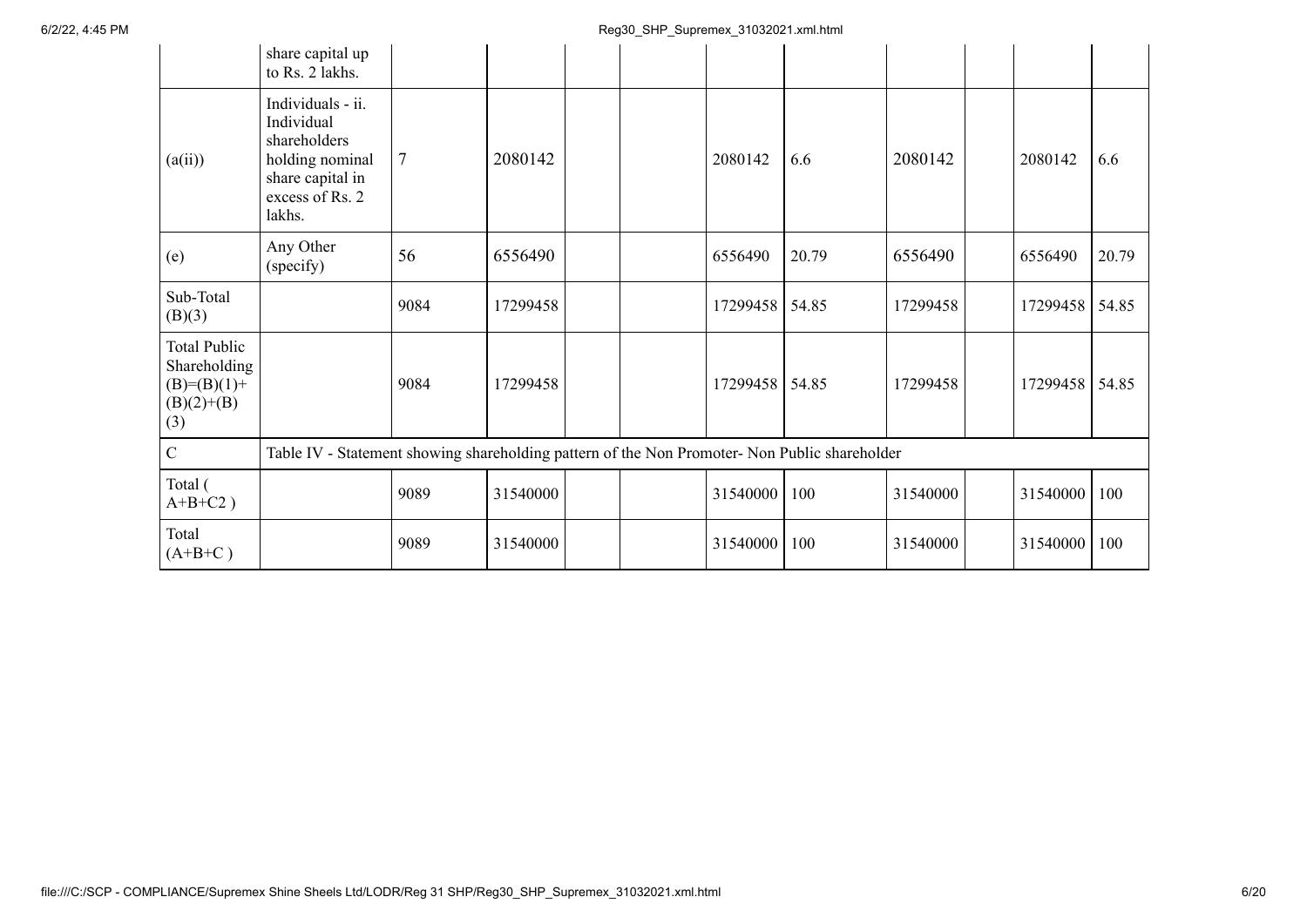|                                                                               | share capital up<br>to Rs. 2 lakhs.                                                                                 |                |          |  |          |       |          |          |       |
|-------------------------------------------------------------------------------|---------------------------------------------------------------------------------------------------------------------|----------------|----------|--|----------|-------|----------|----------|-------|
| (a(ii))                                                                       | Individuals - ii.<br>Individual<br>shareholders<br>holding nominal<br>share capital in<br>excess of Rs. 2<br>lakhs. | $\overline{7}$ | 2080142  |  | 2080142  | 6.6   | 2080142  | 2080142  | 6.6   |
| (e)                                                                           | Any Other<br>(specify)                                                                                              | 56             | 6556490  |  | 6556490  | 20.79 | 6556490  | 6556490  | 20.79 |
| Sub-Total<br>(B)(3)                                                           |                                                                                                                     | 9084           | 17299458 |  | 17299458 | 54.85 | 17299458 | 17299458 | 54.85 |
| <b>Total Public</b><br>Shareholding<br>$(B)= (B)(1) +$<br>$(B)(2)+(B)$<br>(3) |                                                                                                                     | 9084           | 17299458 |  | 17299458 | 54.85 | 17299458 | 17299458 | 54.85 |
| $\mathbf C$                                                                   | Table IV - Statement showing shareholding pattern of the Non Promoter- Non Public shareholder                       |                |          |  |          |       |          |          |       |
| Total (<br>$A+B+C2$ )                                                         |                                                                                                                     | 9089           | 31540000 |  | 31540000 | 100   | 31540000 | 31540000 | 100   |
| Total<br>$(A+B+C)$                                                            |                                                                                                                     | 9089           | 31540000 |  | 31540000 | 100   | 31540000 | 31540000 | 100   |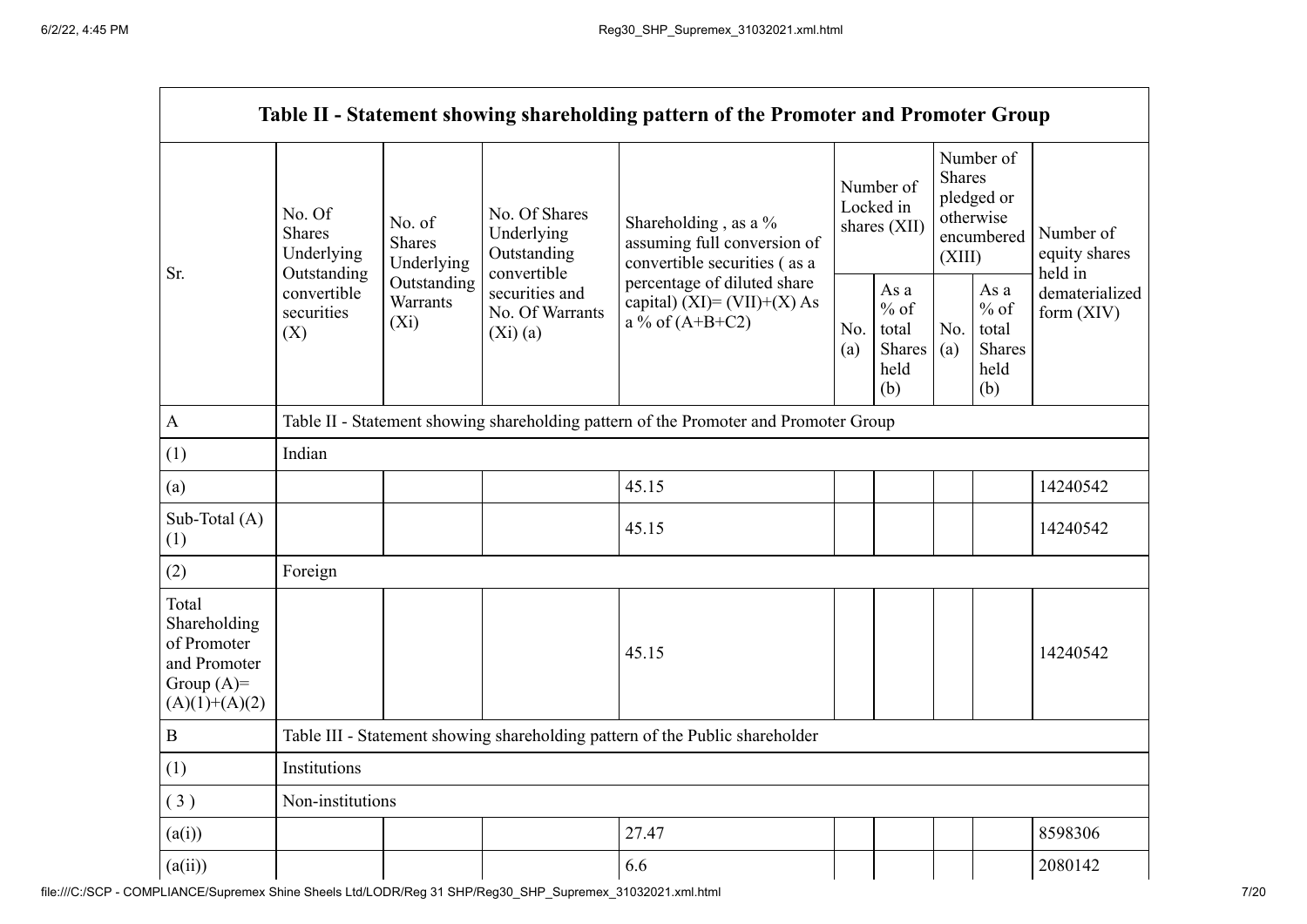|                                                                                         |                                                 |                                                                              |                                                                  | Table II - Statement showing shareholding pattern of the Promoter and Promoter Group    |            |                                                         |            |                                                                               |                                       |  |
|-----------------------------------------------------------------------------------------|-------------------------------------------------|------------------------------------------------------------------------------|------------------------------------------------------------------|-----------------------------------------------------------------------------------------|------------|---------------------------------------------------------|------------|-------------------------------------------------------------------------------|---------------------------------------|--|
| Sr.                                                                                     | No. Of<br><b>Shares</b><br>Underlying           | No. of<br><b>Shares</b><br>Underlying                                        | No. Of Shares<br>Underlying<br>Outstanding                       | Shareholding , as a $\%$<br>assuming full conversion of<br>convertible securities (as a |            | Number of<br>Locked in<br>shares (XII)                  |            | Number of<br><b>Shares</b><br>pledged or<br>otherwise<br>encumbered<br>(XIII) | Number of<br>equity shares<br>held in |  |
|                                                                                         | Outstanding<br>convertible<br>securities<br>(X) | Outstanding<br>Warrants<br>$(X_i)$                                           | convertible<br>securities and<br>No. Of Warrants<br>$(Xi)$ $(a)$ | percentage of diluted share<br>capital) $(XI) = (VII)+(X) As$<br>a % of $(A+B+C2)$      | No.<br>(a) | As a<br>$%$ of<br>total<br><b>Shares</b><br>held<br>(b) | No.<br>(a) | As a<br>$%$ of<br>total<br><b>Shares</b><br>held<br>(b)                       | dematerialized<br>form $(XIV)$        |  |
| $\mathbf{A}$                                                                            |                                                 |                                                                              |                                                                  | Table II - Statement showing shareholding pattern of the Promoter and Promoter Group    |            |                                                         |            |                                                                               |                                       |  |
| (1)                                                                                     | Indian                                          |                                                                              |                                                                  |                                                                                         |            |                                                         |            |                                                                               |                                       |  |
| (a)                                                                                     |                                                 |                                                                              |                                                                  | 45.15                                                                                   |            |                                                         |            |                                                                               | 14240542                              |  |
| Sub-Total (A)<br>(1)                                                                    |                                                 |                                                                              |                                                                  | 45.15                                                                                   |            |                                                         |            |                                                                               | 14240542                              |  |
| (2)                                                                                     | Foreign                                         |                                                                              |                                                                  |                                                                                         |            |                                                         |            |                                                                               |                                       |  |
| Total<br>Shareholding<br>of Promoter<br>and Promoter<br>Group $(A)=$<br>$(A)(1)+(A)(2)$ |                                                 |                                                                              |                                                                  | 45.15                                                                                   |            |                                                         |            |                                                                               | 14240542                              |  |
| $\overline{B}$                                                                          |                                                 | Table III - Statement showing shareholding pattern of the Public shareholder |                                                                  |                                                                                         |            |                                                         |            |                                                                               |                                       |  |
| (1)                                                                                     | Institutions                                    |                                                                              |                                                                  |                                                                                         |            |                                                         |            |                                                                               |                                       |  |
| (3)                                                                                     | Non-institutions                                |                                                                              |                                                                  |                                                                                         |            |                                                         |            |                                                                               |                                       |  |
| (a(i))                                                                                  |                                                 | 8598306<br>27.47                                                             |                                                                  |                                                                                         |            |                                                         |            |                                                                               |                                       |  |
| (a(ii))                                                                                 |                                                 |                                                                              |                                                                  | 6.6                                                                                     |            |                                                         |            |                                                                               | 2080142                               |  |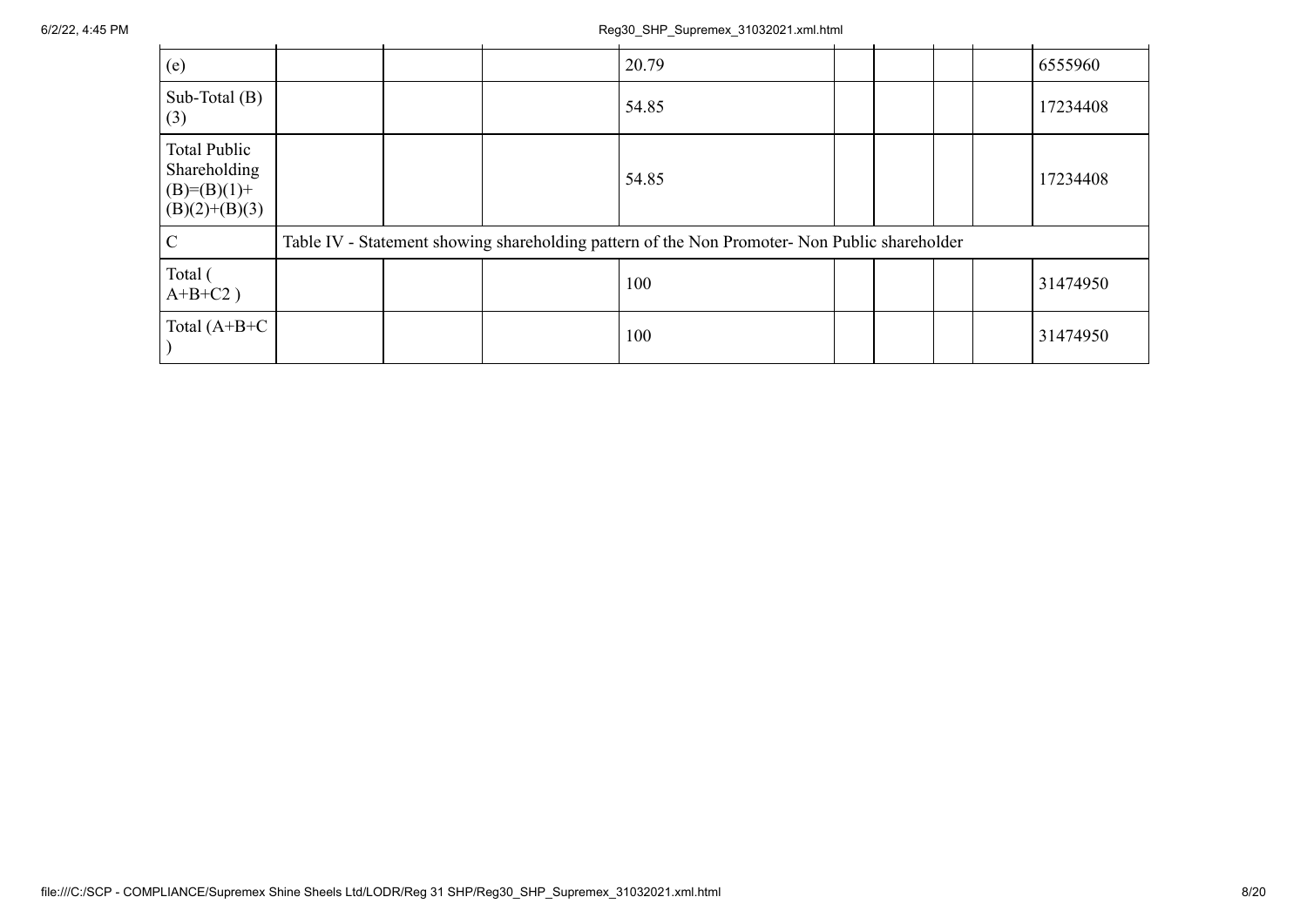## 6/2/22, 4:45 PM Reg30\_SHP\_Supremex\_31032021.xml.html

| (e)                                                                     |  | 20.79                                                                                         |  |  | 6555960  |
|-------------------------------------------------------------------------|--|-----------------------------------------------------------------------------------------------|--|--|----------|
| Sub-Total $(B)$<br>(3)                                                  |  | 54.85                                                                                         |  |  | 17234408 |
| <b>Total Public</b><br>Shareholding<br>$(B)=(B)(1)+$<br>$(B)(2)+(B)(3)$ |  | 54.85                                                                                         |  |  | 17234408 |
| $\mathcal{C}$                                                           |  | Table IV - Statement showing shareholding pattern of the Non Promoter- Non Public shareholder |  |  |          |
| Total (<br>$A+B+C2$ )                                                   |  | 100                                                                                           |  |  | 31474950 |
| Total $(A+B+C$                                                          |  | 100                                                                                           |  |  | 31474950 |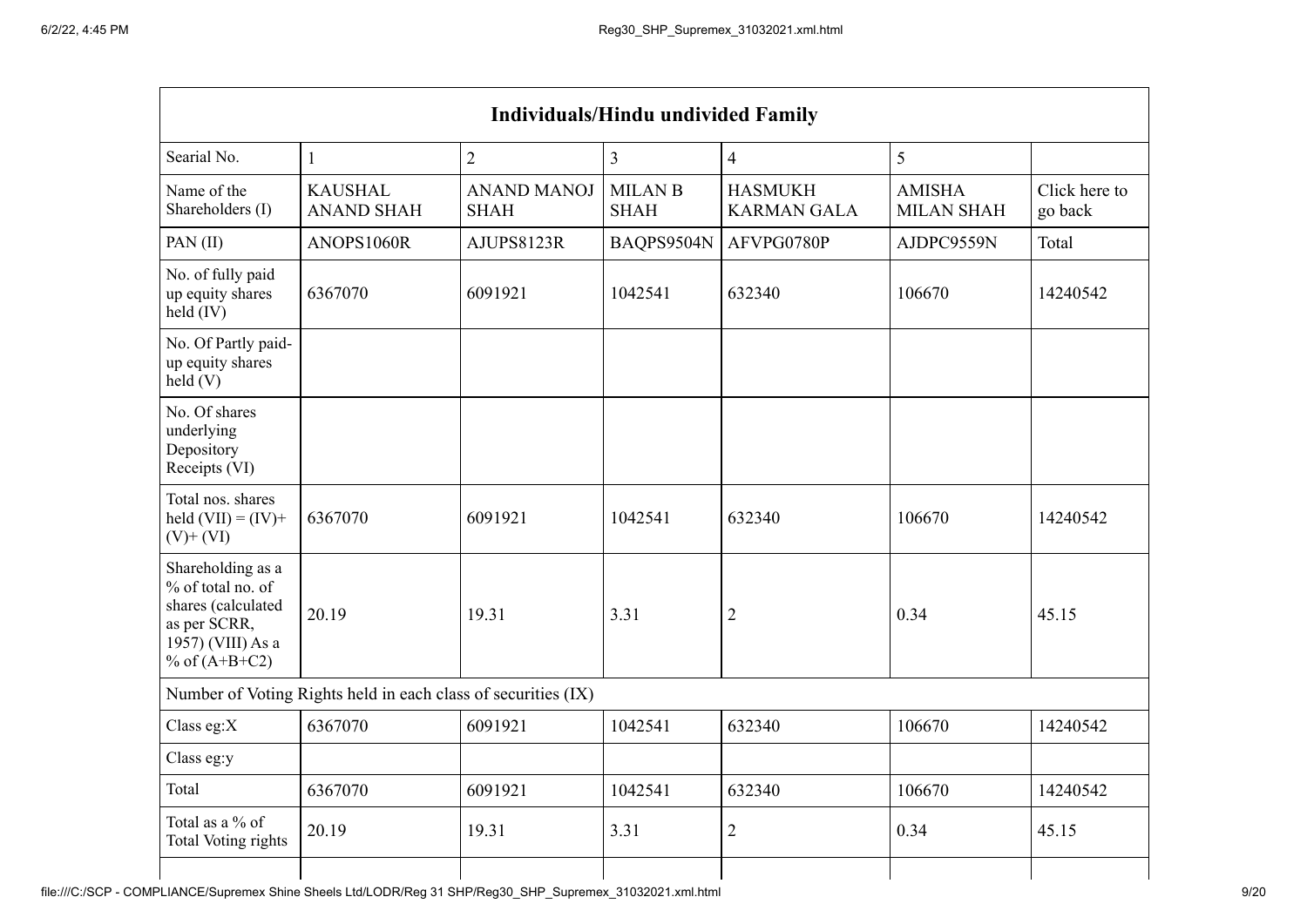| <b>Individuals/Hindu undivided Family</b>                                                                            |                                                               |                                   |                               |                                      |                                    |                          |  |  |  |
|----------------------------------------------------------------------------------------------------------------------|---------------------------------------------------------------|-----------------------------------|-------------------------------|--------------------------------------|------------------------------------|--------------------------|--|--|--|
| Searial No.                                                                                                          | $\mathbf{1}$                                                  | $\overline{2}$                    | $\overline{3}$                | $\overline{4}$                       | 5                                  |                          |  |  |  |
| Name of the<br>Shareholders (I)                                                                                      | <b>KAUSHAL</b><br><b>ANAND SHAH</b>                           | <b>ANAND MANOJ</b><br><b>SHAH</b> | <b>MILAN B</b><br><b>SHAH</b> | <b>HASMUKH</b><br><b>KARMAN GALA</b> | <b>AMISHA</b><br><b>MILAN SHAH</b> | Click here to<br>go back |  |  |  |
| PAN(II)                                                                                                              | ANOPS1060R                                                    | AJUPS8123R                        | BAQPS9504N                    | AFVPG0780P                           | AJDPC9559N                         | Total                    |  |  |  |
| No. of fully paid<br>up equity shares<br>$held$ (IV)                                                                 | 6367070                                                       | 6091921                           | 1042541                       | 632340                               | 106670                             | 14240542                 |  |  |  |
| No. Of Partly paid-<br>up equity shares<br>held(V)                                                                   |                                                               |                                   |                               |                                      |                                    |                          |  |  |  |
| No. Of shares<br>underlying<br>Depository<br>Receipts (VI)                                                           |                                                               |                                   |                               |                                      |                                    |                          |  |  |  |
| Total nos. shares<br>held $(VII) = (IV) +$<br>$(V)$ + $(VI)$                                                         | 6367070                                                       | 6091921                           | 1042541                       | 632340                               | 106670                             | 14240542                 |  |  |  |
| Shareholding as a<br>% of total no. of<br>shares (calculated<br>as per SCRR,<br>1957) (VIII) As a<br>% of $(A+B+C2)$ | 20.19                                                         | 19.31                             | 3.31                          | $\overline{2}$                       | 0.34                               | 45.15                    |  |  |  |
|                                                                                                                      | Number of Voting Rights held in each class of securities (IX) |                                   |                               |                                      |                                    |                          |  |  |  |
| Class eg: $X$                                                                                                        | 6367070                                                       | 6091921                           | 1042541                       | 632340                               | 106670                             | 14240542                 |  |  |  |
| Class eg:y                                                                                                           |                                                               |                                   |                               |                                      |                                    |                          |  |  |  |
| Total                                                                                                                | 6367070                                                       | 6091921                           | 1042541                       | 632340                               | 106670                             | 14240542                 |  |  |  |
| Total as a % of<br>Total Voting rights                                                                               | 20.19                                                         | 19.31                             | 3.31                          | $\overline{2}$                       | 0.34                               | 45.15                    |  |  |  |
|                                                                                                                      |                                                               |                                   |                               |                                      |                                    |                          |  |  |  |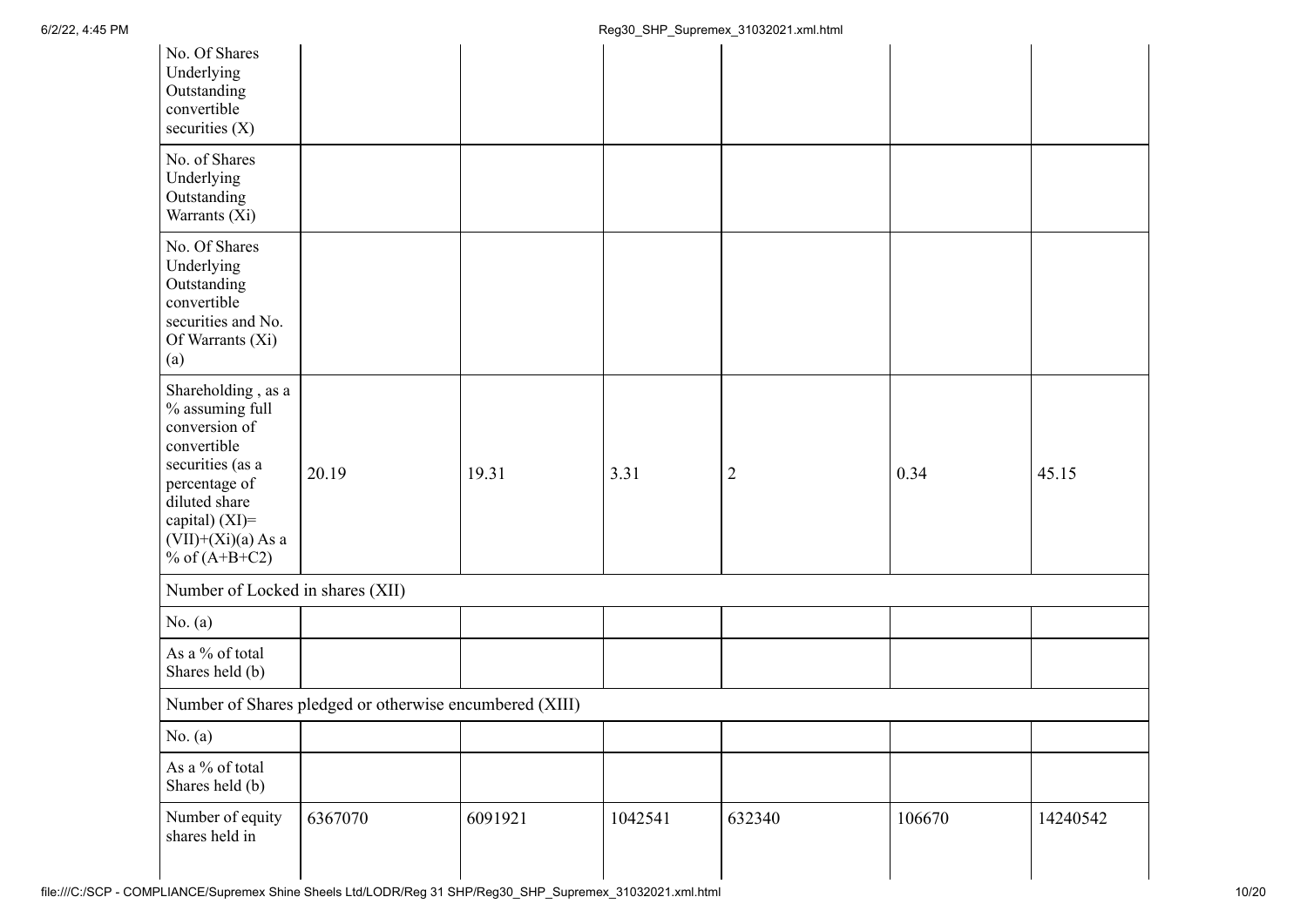| No. Of Shares<br>Underlying<br>Outstanding<br>convertible<br>securities $(X)$                                                                                                               |                                                         |         |         |        |        |          |
|---------------------------------------------------------------------------------------------------------------------------------------------------------------------------------------------|---------------------------------------------------------|---------|---------|--------|--------|----------|
| No. of Shares<br>Underlying<br>Outstanding<br>Warrants (Xi)                                                                                                                                 |                                                         |         |         |        |        |          |
| No. Of Shares<br>Underlying<br>Outstanding<br>convertible<br>securities and No.<br>Of Warrants (Xi)<br>(a)                                                                                  |                                                         |         |         |        |        |          |
| Shareholding, as a<br>$\%$ assuming full<br>conversion of<br>convertible<br>securities (as a<br>percentage of<br>diluted share<br>capital) (XI)=<br>$(VII)+(Xi)(a)$ As a<br>% of $(A+B+C2)$ | 20.19                                                   | 19.31   | 3.31    | 2      | 0.34   | 45.15    |
| Number of Locked in shares (XII)                                                                                                                                                            |                                                         |         |         |        |        |          |
| No. $(a)$                                                                                                                                                                                   |                                                         |         |         |        |        |          |
| As a % of total<br>Shares held (b)                                                                                                                                                          |                                                         |         |         |        |        |          |
|                                                                                                                                                                                             | Number of Shares pledged or otherwise encumbered (XIII) |         |         |        |        |          |
| No. $(a)$                                                                                                                                                                                   |                                                         |         |         |        |        |          |
| As a % of total<br>Shares held (b)                                                                                                                                                          |                                                         |         |         |        |        |          |
| Number of equity<br>shares held in                                                                                                                                                          | 6367070                                                 | 6091921 | 1042541 | 632340 | 106670 | 14240542 |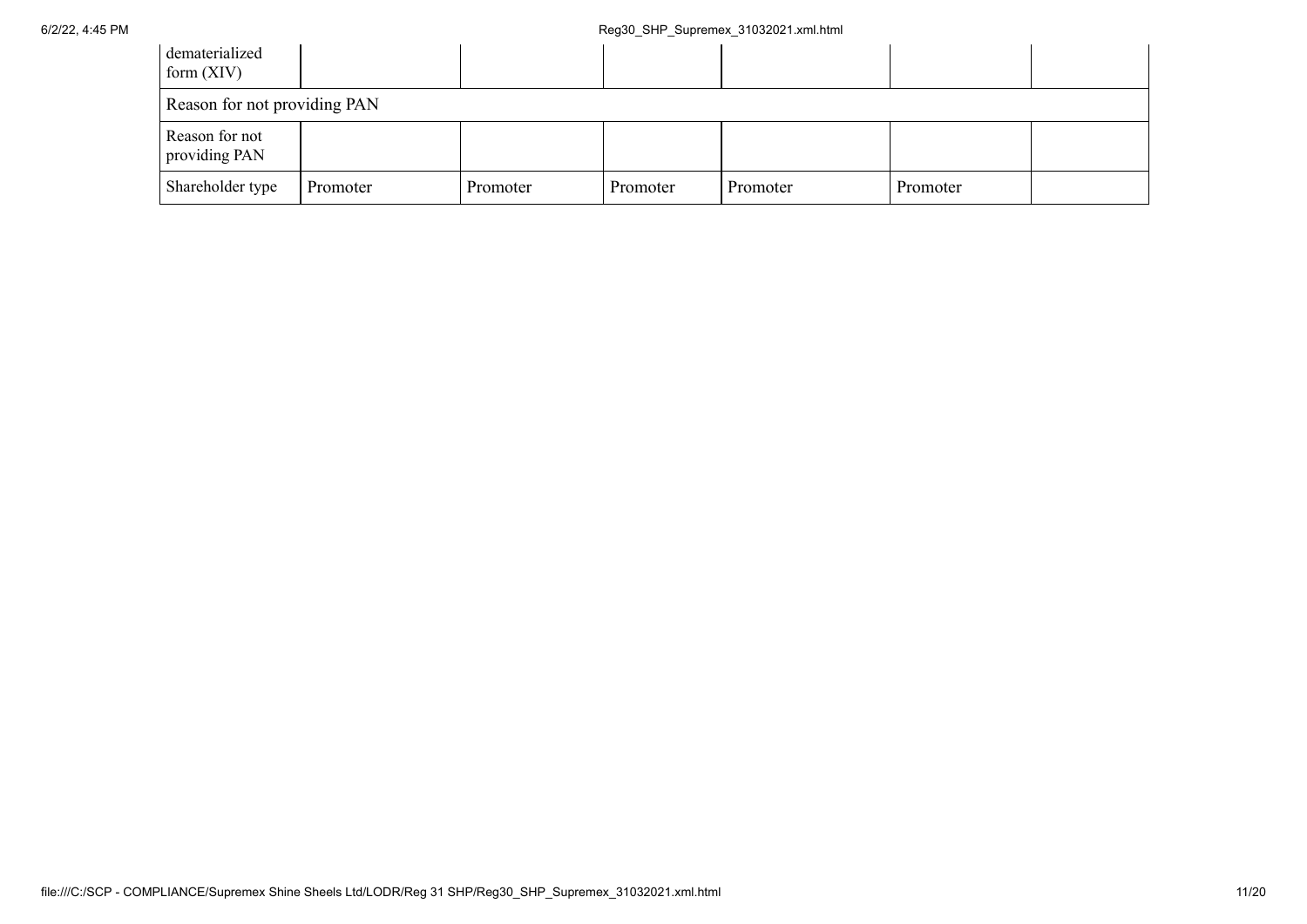| dematerialized<br>form $(XIV)$  |          |          |          |          |          |  |
|---------------------------------|----------|----------|----------|----------|----------|--|
| Reason for not providing PAN    |          |          |          |          |          |  |
| Reason for not<br>providing PAN |          |          |          |          |          |  |
| Shareholder type                | Promoter | Promoter | Promoter | Promoter | Promoter |  |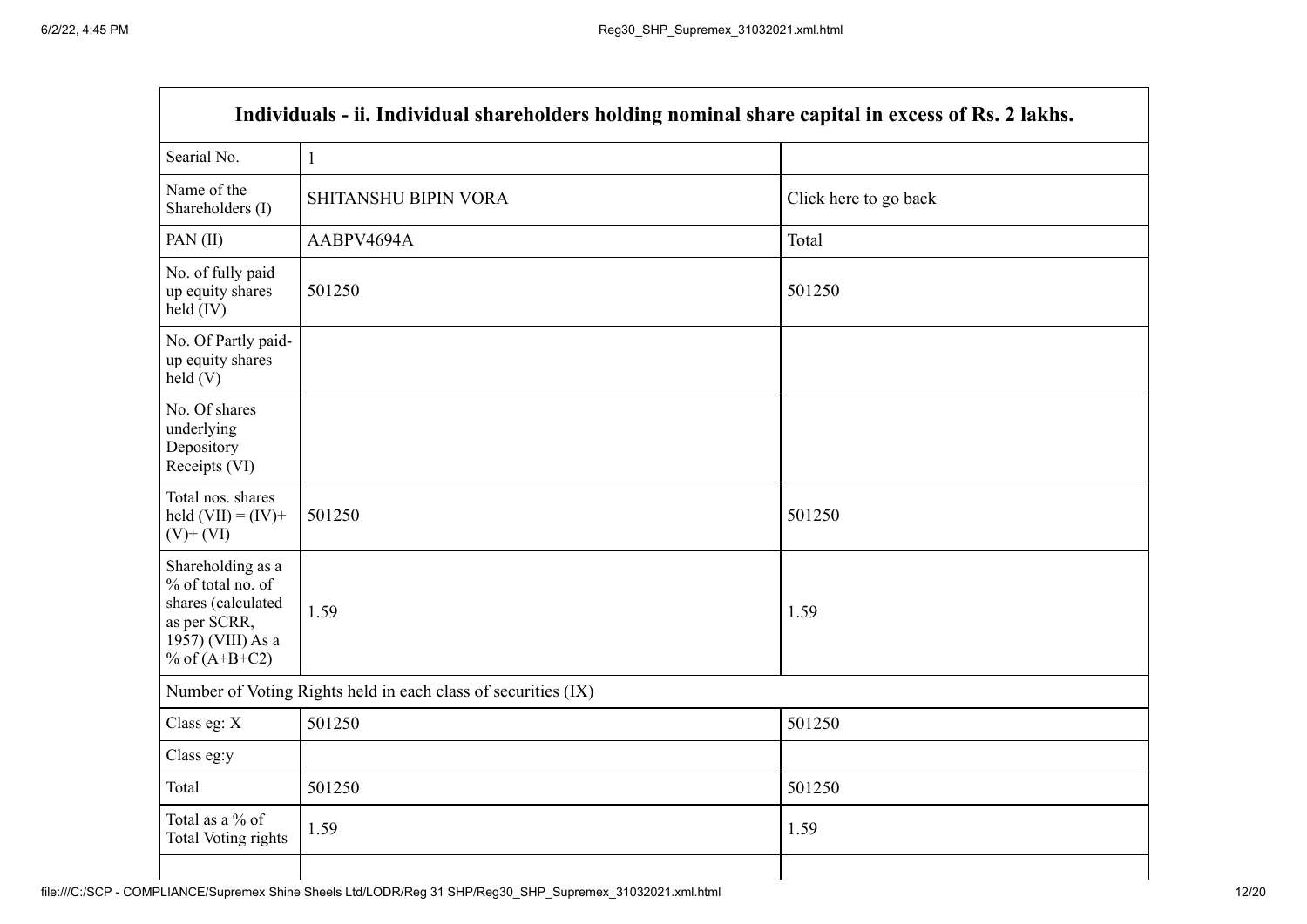|                                                                                                                      | Individuals - ii. Individual shareholders holding nominal share capital in excess of Rs. 2 lakhs. |                       |
|----------------------------------------------------------------------------------------------------------------------|---------------------------------------------------------------------------------------------------|-----------------------|
| Searial No.                                                                                                          | $\mathbf{1}$                                                                                      |                       |
| Name of the<br>Shareholders (I)                                                                                      | SHITANSHU BIPIN VORA                                                                              | Click here to go back |
| PAN(II)                                                                                                              | AABPV4694A                                                                                        | Total                 |
| No. of fully paid<br>up equity shares<br>$held$ (IV)                                                                 | 501250                                                                                            | 501250                |
| No. Of Partly paid-<br>up equity shares<br>held(V)                                                                   |                                                                                                   |                       |
| No. Of shares<br>underlying<br>Depository<br>Receipts (VI)                                                           |                                                                                                   |                       |
| Total nos. shares<br>held $(VII) = (IV) +$<br>$(V)$ + $(VI)$                                                         | 501250                                                                                            | 501250                |
| Shareholding as a<br>% of total no. of<br>shares (calculated<br>as per SCRR,<br>1957) (VIII) As a<br>% of $(A+B+C2)$ | 1.59                                                                                              | 1.59                  |
|                                                                                                                      | Number of Voting Rights held in each class of securities (IX)                                     |                       |
| Class eg: X                                                                                                          | 501250                                                                                            | 501250                |
| Class eg:y                                                                                                           |                                                                                                   |                       |
| Total                                                                                                                | 501250                                                                                            | 501250                |
| Total as a % of<br><b>Total Voting rights</b>                                                                        | 1.59                                                                                              | 1.59                  |
|                                                                                                                      |                                                                                                   |                       |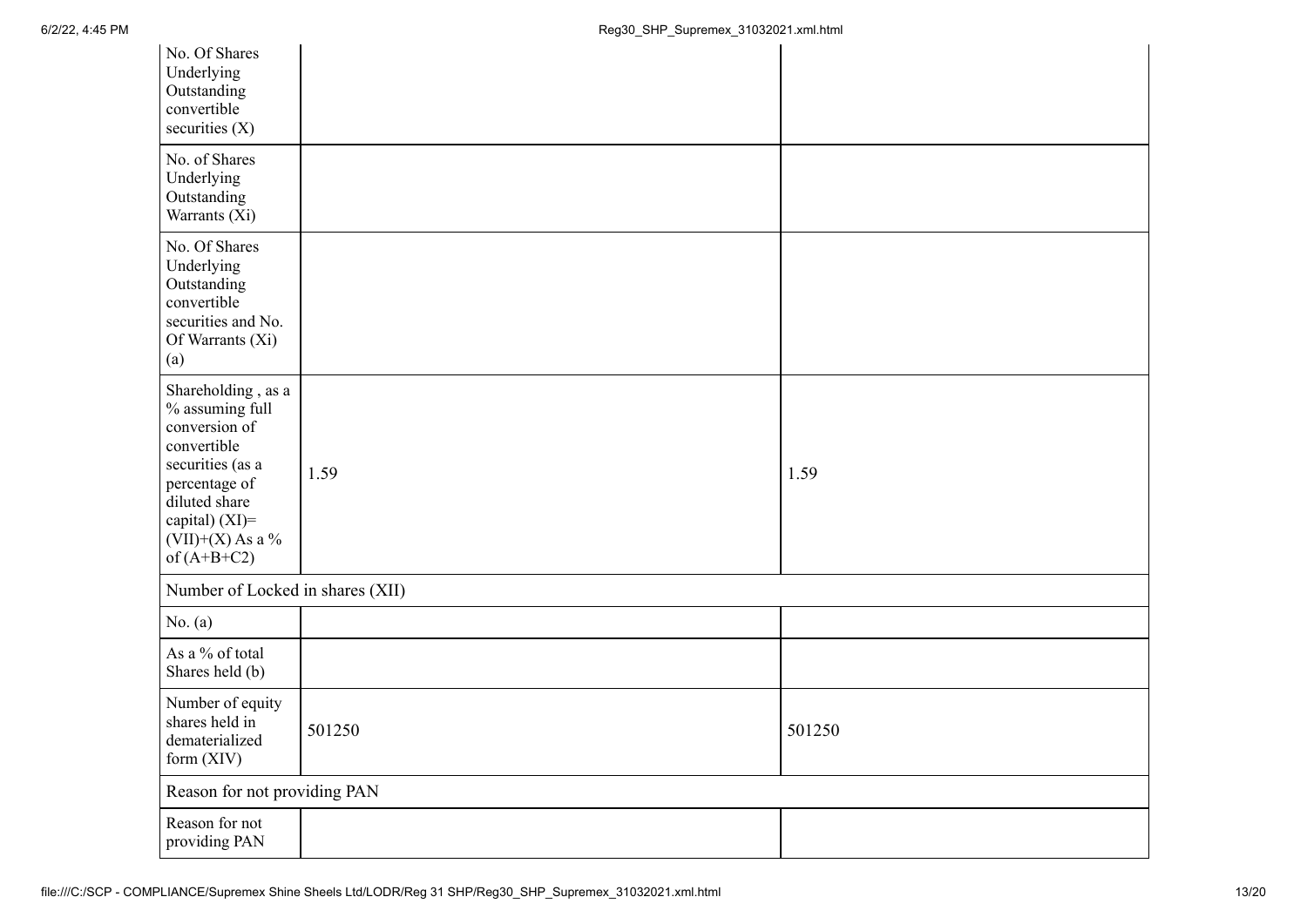| No. Of Shares<br>Underlying<br>Outstanding<br>convertible<br>securities $(X)$                                                                                                           |        |        |
|-----------------------------------------------------------------------------------------------------------------------------------------------------------------------------------------|--------|--------|
| No. of Shares<br>Underlying<br>Outstanding<br>Warrants (Xi)                                                                                                                             |        |        |
| No. Of Shares<br>Underlying<br>Outstanding<br>convertible<br>securities and No.<br>Of Warrants (Xi)<br>(a)                                                                              |        |        |
| Shareholding, as a<br>$\%$ assuming full<br>conversion of<br>convertible<br>securities (as a<br>percentage of<br>diluted share<br>capital) (XI)=<br>$(VII)+(X)$ As a %<br>of $(A+B+C2)$ | 1.59   | 1.59   |
| Number of Locked in shares (XII)                                                                                                                                                        |        |        |
| No. (a)                                                                                                                                                                                 |        |        |
| As a % of total<br>Shares held (b)                                                                                                                                                      |        |        |
| Number of equity<br>shares held in<br>${\tt dematerialized}$<br>form $(XIV)$                                                                                                            | 501250 | 501250 |
| Reason for not providing PAN                                                                                                                                                            |        |        |
| Reason for not<br>providing PAN                                                                                                                                                         |        |        |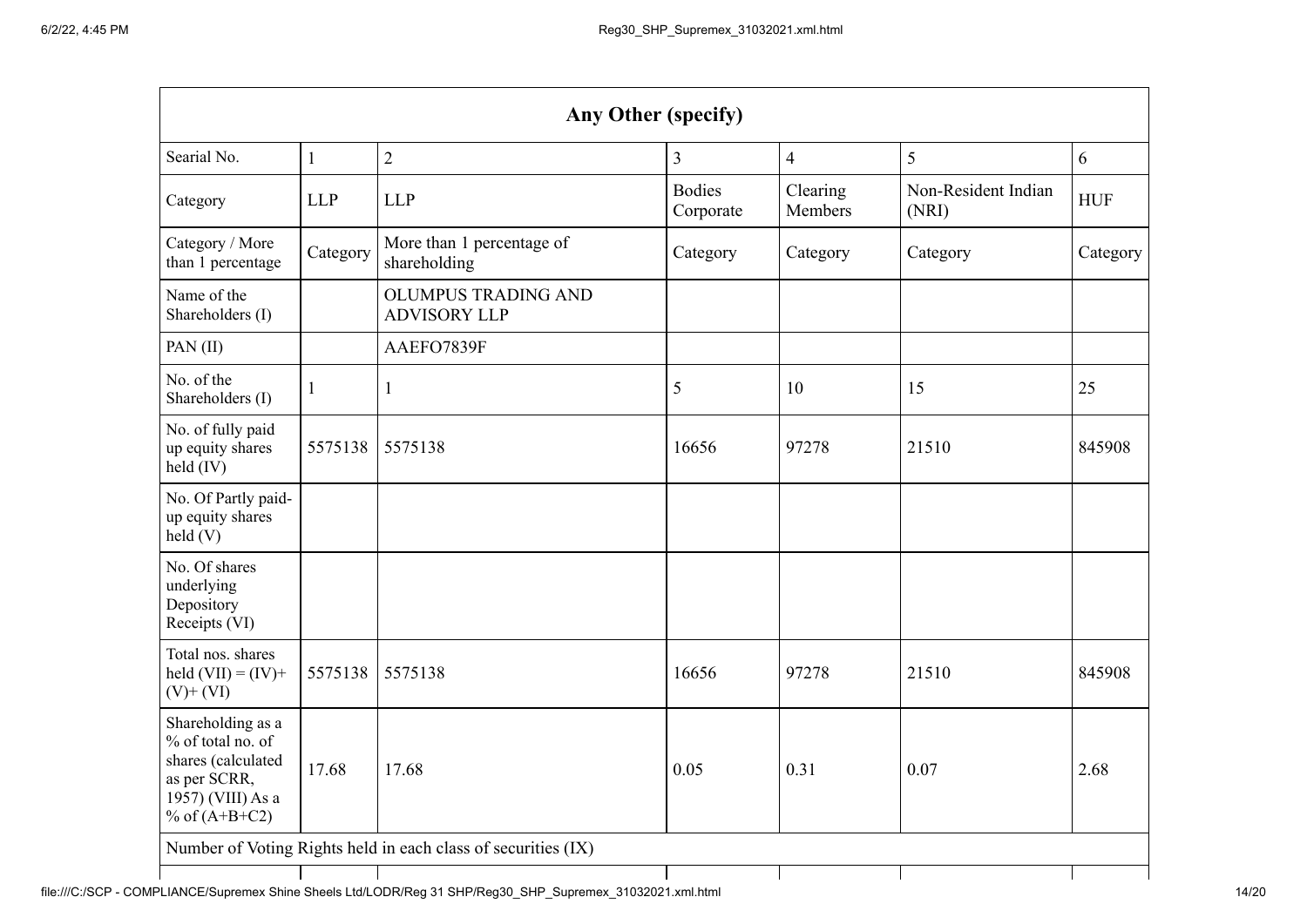| Any Other (specify)                                                                                                  |              |                                                   |                            |                     |                              |            |
|----------------------------------------------------------------------------------------------------------------------|--------------|---------------------------------------------------|----------------------------|---------------------|------------------------------|------------|
| Searial No.                                                                                                          | $\mathbf{1}$ | $\overline{2}$                                    | 3                          | $\overline{4}$      | 5                            | 6          |
| Category                                                                                                             | <b>LLP</b>   | <b>LLP</b>                                        | <b>Bodies</b><br>Corporate | Clearing<br>Members | Non-Resident Indian<br>(NRI) | <b>HUF</b> |
| Category / More<br>than 1 percentage                                                                                 | Category     | More than 1 percentage of<br>shareholding         | Category                   | Category            | Category                     | Category   |
| Name of the<br>Shareholders (I)                                                                                      |              | <b>OLUMPUS TRADING AND</b><br><b>ADVISORY LLP</b> |                            |                     |                              |            |
| PAN(II)                                                                                                              |              | AAEFO7839F                                        |                            |                     |                              |            |
| No. of the<br>Shareholders (I)                                                                                       | $\mathbf{1}$ | 1                                                 | 5                          | 10                  | 15                           | 25         |
| No. of fully paid<br>up equity shares<br>held (IV)                                                                   | 5575138      | 5575138                                           | 16656                      | 97278               | 21510                        | 845908     |
| No. Of Partly paid-<br>up equity shares<br>held(V)                                                                   |              |                                                   |                            |                     |                              |            |
| No. Of shares<br>underlying<br>Depository<br>Receipts (VI)                                                           |              |                                                   |                            |                     |                              |            |
| Total nos. shares<br>held $(VII) = (IV) +$<br>$(V)$ + $(VI)$                                                         | 5575138      | 5575138                                           | 16656                      | 97278               | 21510                        | 845908     |
| Shareholding as a<br>% of total no. of<br>shares (calculated<br>as per SCRR,<br>1957) (VIII) As a<br>% of $(A+B+C2)$ | 17.68        | 17.68                                             | 0.05                       | 0.31                | 0.07                         | 2.68       |
| Number of Voting Rights held in each class of securities (IX)                                                        |              |                                                   |                            |                     |                              |            |
|                                                                                                                      |              |                                                   |                            |                     |                              |            |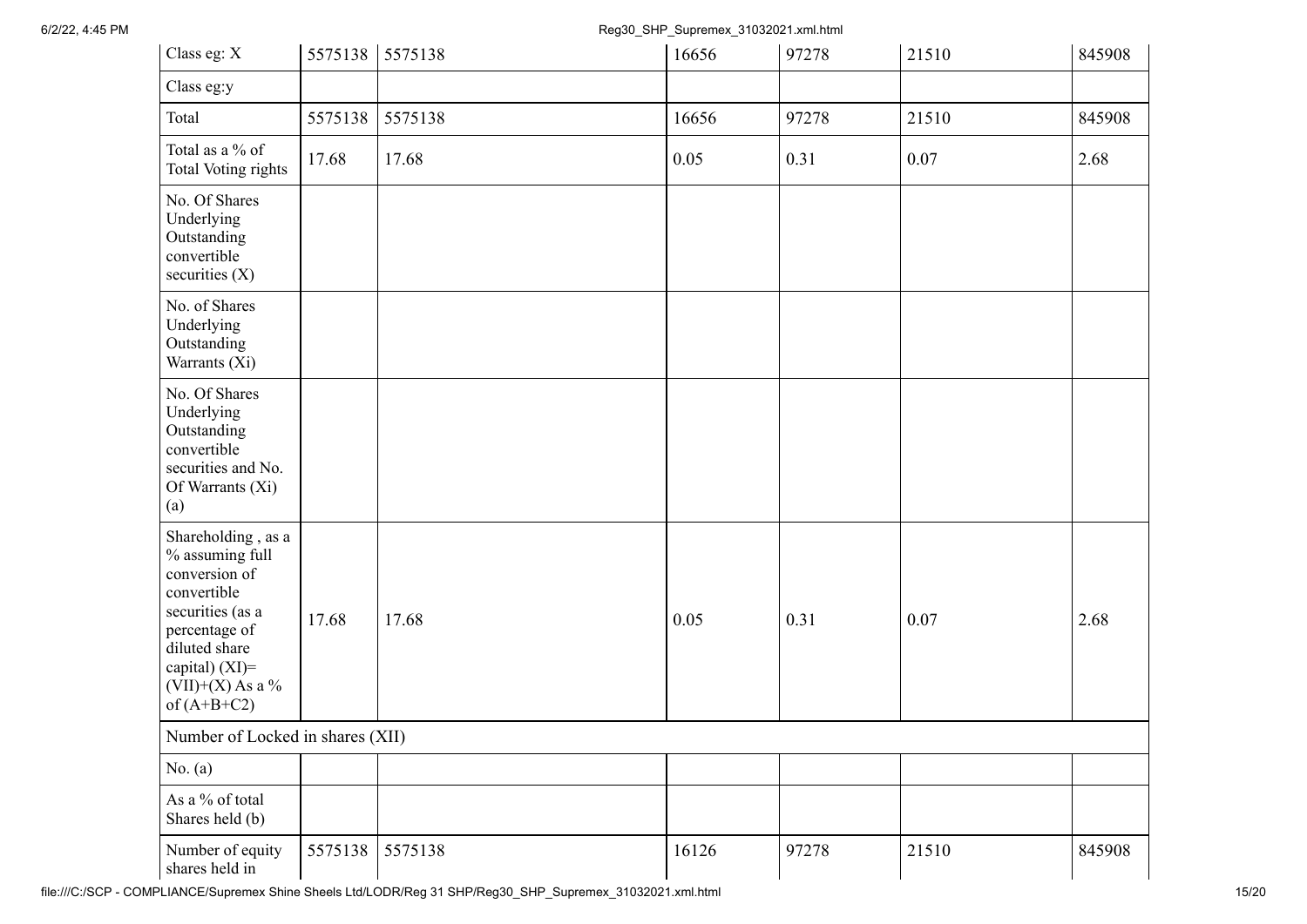6/2/22, 4:45 PM Reg30\_SHP\_Supremex\_31032021.xml.html

| Class eg: X                                                                                                                                                                          | 5575138 | 5575138 | 16656 | 97278 | 21510 | 845908 |
|--------------------------------------------------------------------------------------------------------------------------------------------------------------------------------------|---------|---------|-------|-------|-------|--------|
| Class eg:y                                                                                                                                                                           |         |         |       |       |       |        |
| Total                                                                                                                                                                                | 5575138 | 5575138 | 16656 | 97278 | 21510 | 845908 |
| Total as a % of<br><b>Total Voting rights</b>                                                                                                                                        | 17.68   | 17.68   | 0.05  | 0.31  | 0.07  | 2.68   |
| No. Of Shares<br>Underlying<br>Outstanding<br>convertible<br>securities $(X)$                                                                                                        |         |         |       |       |       |        |
| No. of Shares<br>Underlying<br>Outstanding<br>Warrants (Xi)                                                                                                                          |         |         |       |       |       |        |
| No. Of Shares<br>Underlying<br>Outstanding<br>convertible<br>securities and No.<br>Of Warrants (Xi)<br>(a)                                                                           |         |         |       |       |       |        |
| Shareholding, as a<br>% assuming full<br>conversion of<br>convertible<br>securities (as a<br>percentage of<br>diluted share<br>capital) (XI)=<br>$(VII)+(X)$ As a %<br>of $(A+B+C2)$ | 17.68   | 17.68   | 0.05  | 0.31  | 0.07  | 2.68   |
| Number of Locked in shares (XII)                                                                                                                                                     |         |         |       |       |       |        |
| No. (a)                                                                                                                                                                              |         |         |       |       |       |        |
| As a % of total<br>Shares held (b)                                                                                                                                                   |         |         |       |       |       |        |
| Number of equity<br>shares held in                                                                                                                                                   | 5575138 | 5575138 | 16126 | 97278 | 21510 | 845908 |

file:///C:/SCP - COMPLIANCE/Supremex Shine Sheels Ltd/LODR/Reg 31 SHP/Reg30\_SHP\_Supremex\_31032021.xml.html 15/20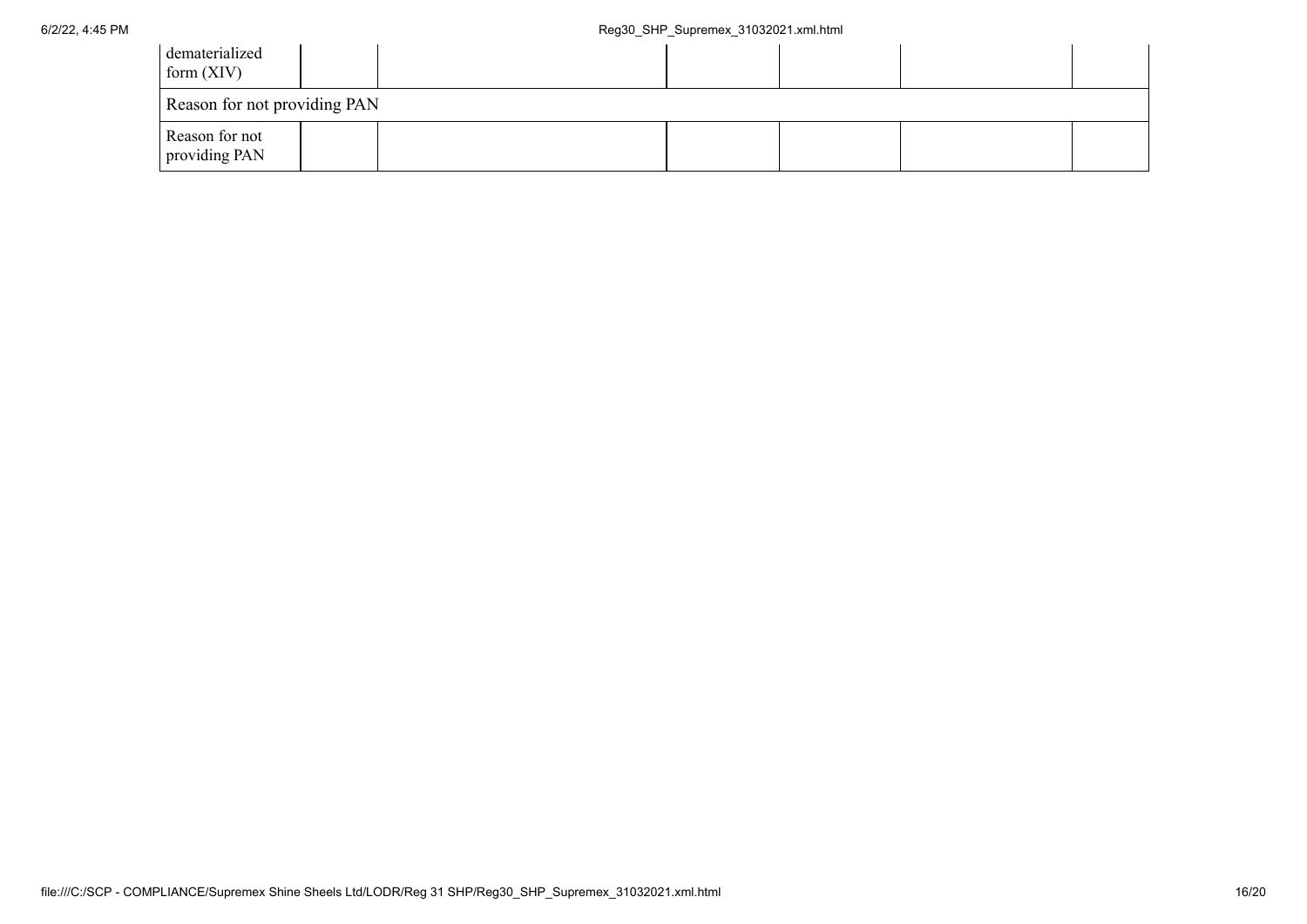| dematerialized<br>form $(XIV)$  |  |  |  |
|---------------------------------|--|--|--|
| Reason for not providing PAN    |  |  |  |
| Reason for not<br>providing PAN |  |  |  |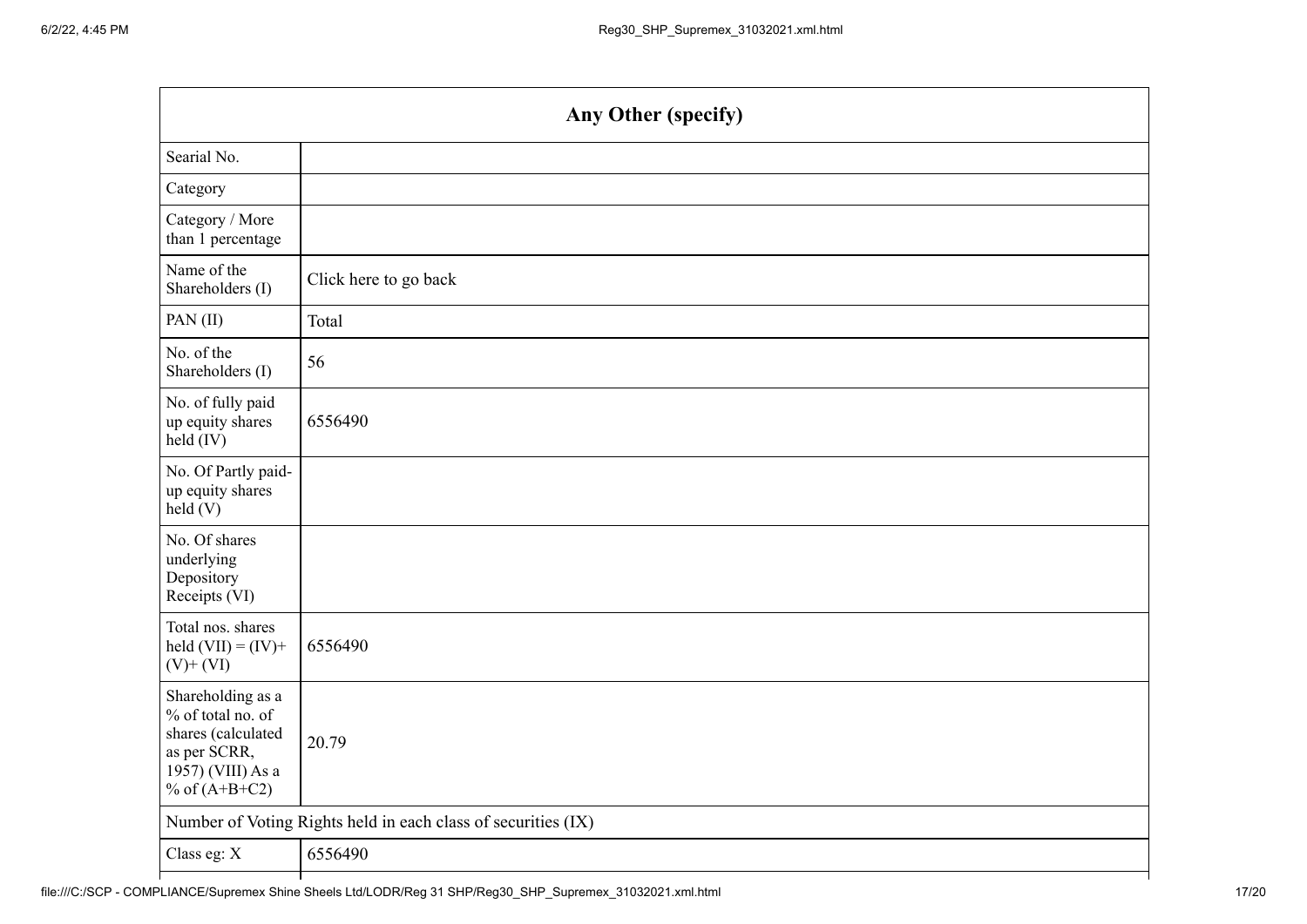| Any Other (specify)                                                                                                  |                       |  |
|----------------------------------------------------------------------------------------------------------------------|-----------------------|--|
| Searial No.                                                                                                          |                       |  |
| Category                                                                                                             |                       |  |
| Category / More<br>than 1 percentage                                                                                 |                       |  |
| Name of the<br>Shareholders (I)                                                                                      | Click here to go back |  |
| PAN(II)                                                                                                              | Total                 |  |
| No. of the<br>Shareholders (I)                                                                                       | 56                    |  |
| No. of fully paid<br>up equity shares<br>$held$ (IV)                                                                 | 6556490               |  |
| No. Of Partly paid-<br>up equity shares<br>held(V)                                                                   |                       |  |
| No. Of shares<br>underlying<br>Depository<br>Receipts (VI)                                                           |                       |  |
| Total nos. shares<br>held $(VII) = (IV) +$<br>$(V)$ + $(VI)$                                                         | 6556490               |  |
| Shareholding as a<br>% of total no. of<br>shares (calculated<br>as per SCRR,<br>1957) (VIII) As a<br>% of $(A+B+C2)$ | 20.79                 |  |
| Number of Voting Rights held in each class of securities (IX)                                                        |                       |  |
| Class eg: X                                                                                                          | 6556490               |  |
|                                                                                                                      |                       |  |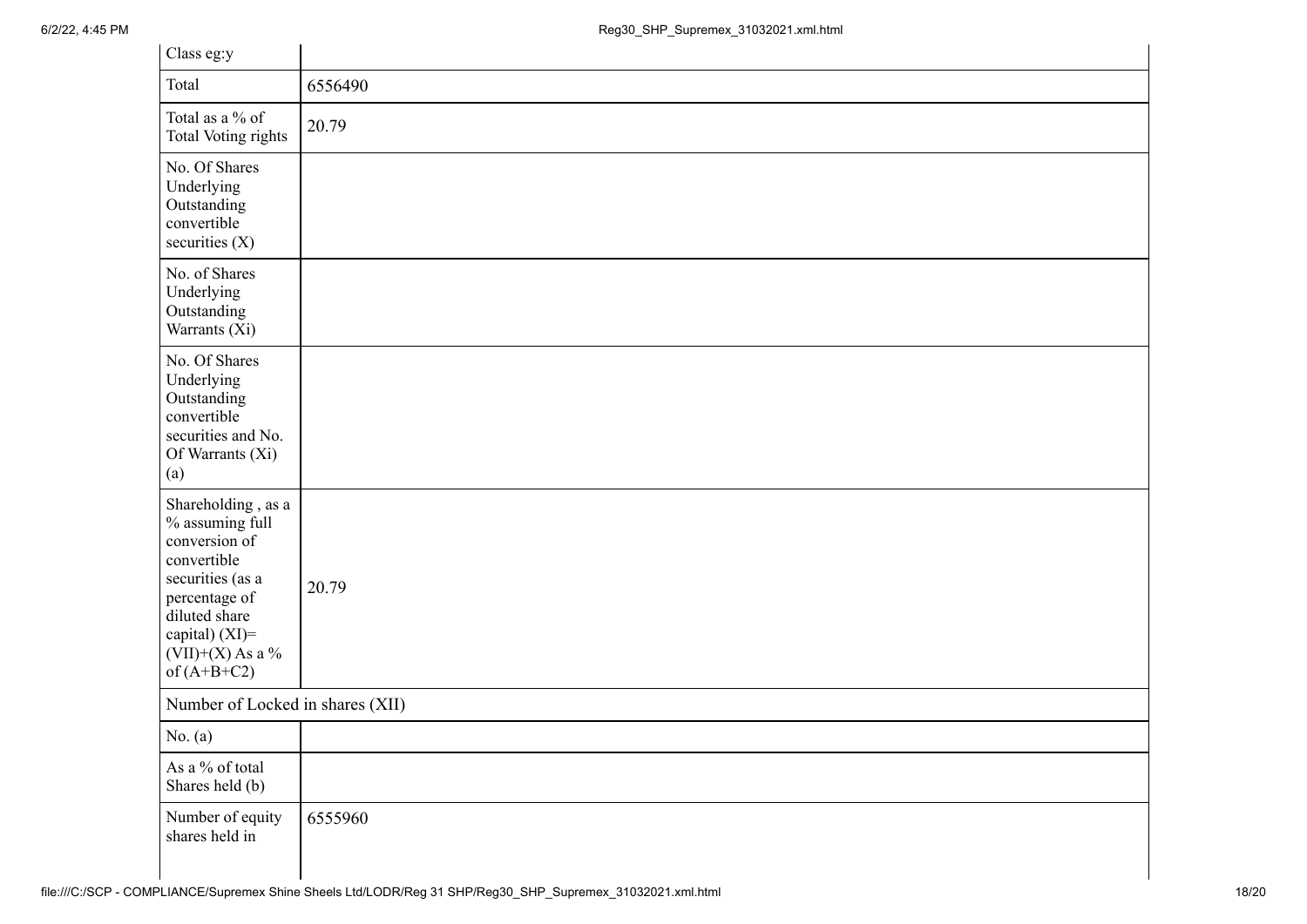| Class eg:y                                                                                                                                                                              |         |  |
|-----------------------------------------------------------------------------------------------------------------------------------------------------------------------------------------|---------|--|
| Total                                                                                                                                                                                   | 6556490 |  |
| Total as a % of<br>Total Voting rights                                                                                                                                                  | 20.79   |  |
| No. Of Shares<br>Underlying<br>Outstanding<br>convertible<br>securities $(X)$                                                                                                           |         |  |
| No. of Shares<br>Underlying<br>Outstanding<br>Warrants (Xi)                                                                                                                             |         |  |
| No. Of Shares<br>Underlying<br>Outstanding<br>convertible<br>securities and No.<br>Of Warrants (Xi)<br>(a)                                                                              |         |  |
| Shareholding, as a<br>$\%$ assuming full<br>conversion of<br>convertible<br>securities (as a<br>percentage of<br>diluted share<br>capital) (XI)=<br>$(VII)+(X)$ As a %<br>of $(A+B+C2)$ | 20.79   |  |
| Number of Locked in shares (XII)                                                                                                                                                        |         |  |
| No. $(a)$                                                                                                                                                                               |         |  |
| As a % of total<br>Shares held (b)                                                                                                                                                      |         |  |
| Number of equity<br>shares held in                                                                                                                                                      | 6555960 |  |

 $\mathbb{R}^2$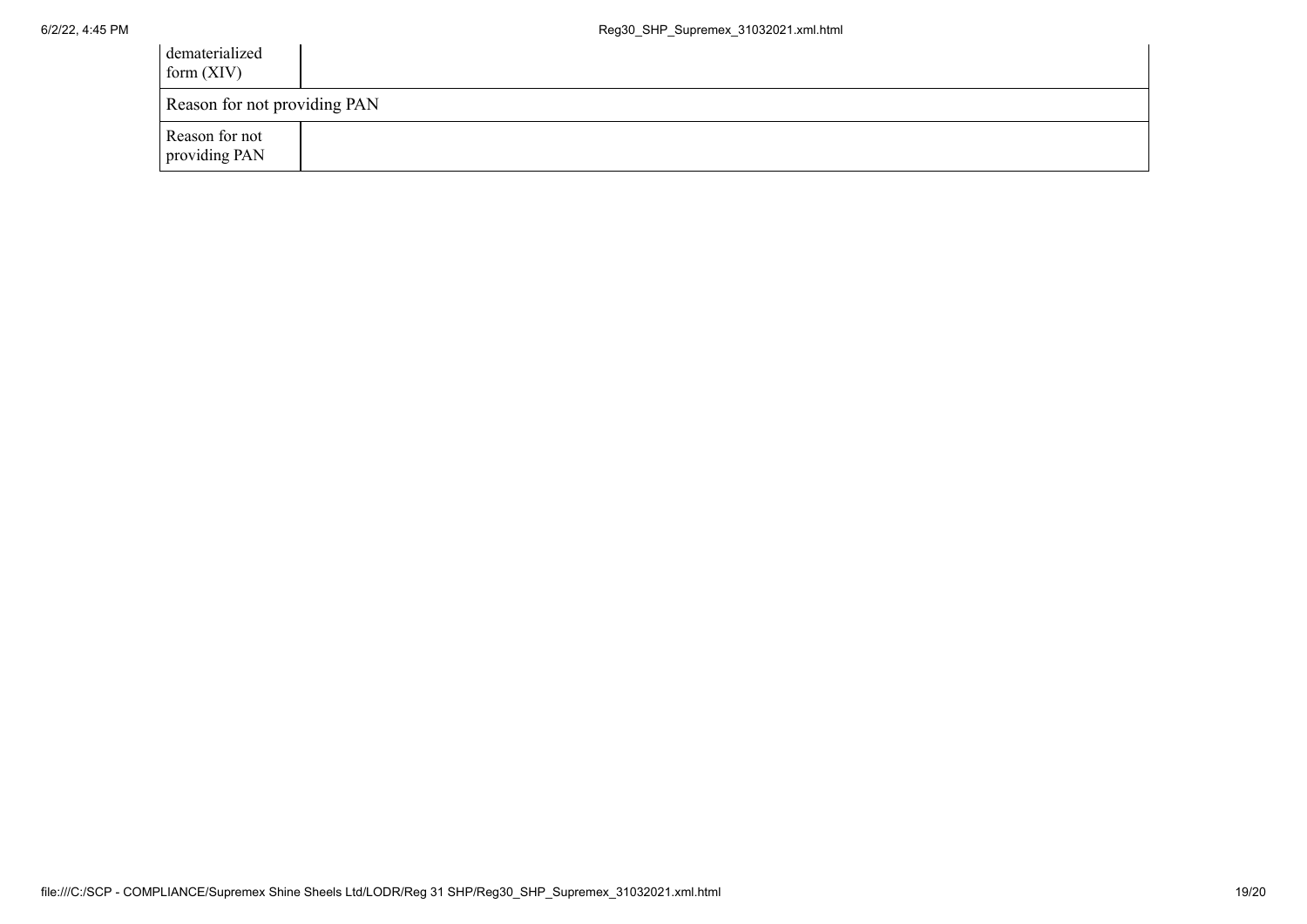| dematerialized<br>form $(XIV)$  |  |
|---------------------------------|--|
| Reason for not providing PAN    |  |
| Reason for not<br>providing PAN |  |